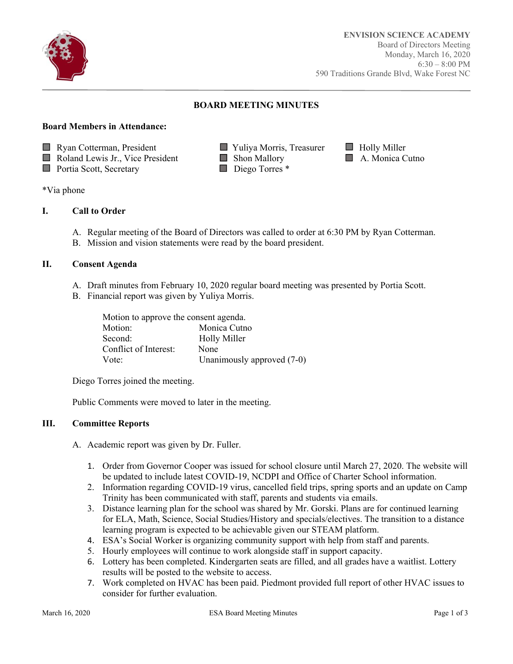

Ī

# **BOARD MEETING MINUTES**

## **Board Members in Attendance:**

**Ryan Cotterman, President Case Access** Vuliya Morris, Treasurer **Holly Miller** 

■ Roland Lewis Jr., Vice President ■ Shon Mallory ■ A. Monica Cutno<br>■ Portia Scott, Secretary ■ Diego Torres \*

 $\Box$  Portia Scott, Secretary

#### \*Via phone

## **I. Call to Order**

- A. Regular meeting of the Board of Directors was called to order at 6:30 PM by Ryan Cotterman.
- B. Mission and vision statements were read by the board president.

# **II. Consent Agenda**

- A. Draft minutes from February 10, 2020 regular board meeting was presented by Portia Scott.
- B. Financial report was given by Yuliya Morris.

| Motion to approve the consent agenda. |                            |  |
|---------------------------------------|----------------------------|--|
| Motion:                               | Monica Cutno               |  |
| Second:                               | <b>Holly Miller</b>        |  |
| Conflict of Interest:                 | None                       |  |
| Vote:                                 | Unanimously approved (7-0) |  |

Diego Torres joined the meeting.

Public Comments were moved to later in the meeting.

## **III. Committee Reports**

A. Academic report was given by Dr. Fuller.

- 1. Order from Governor Cooper was issued for school closure until March 27, 2020. The website will be updated to include latest COVID-19, NCDPI and Office of Charter School information.
- 2. Information regarding COVID-19 virus, cancelled field trips, spring sports and an update on Camp Trinity has been communicated with staff, parents and students via emails.
- 3. Distance learning plan for the school was shared by Mr. Gorski. Plans are for continued learning for ELA, Math, Science, Social Studies/History and specials/electives. The transition to a distance learning program is expected to be achievable given our STEAM platform.
- 4. ESA's Social Worker is organizing community support with help from staff and parents.
- 5. Hourly employees will continue to work alongside staff in support capacity.
- 6. Lottery has been completed. Kindergarten seats are filled, and all grades have a waitlist. Lottery results will be posted to the website to access.
- 7. Work completed on HVAC has been paid. Piedmont provided full report of other HVAC issues to consider for further evaluation.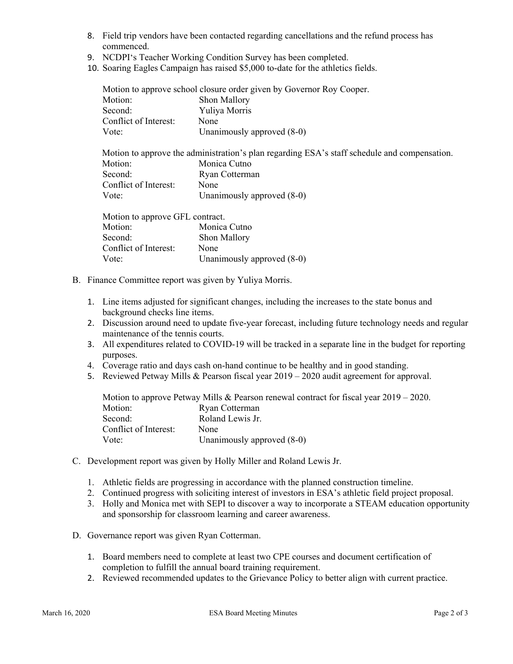- 8. Field trip vendors have been contacted regarding cancellations and the refund process has commenced.
- 9. NCDPI's Teacher Working Condition Survey has been completed.
- 10. Soaring Eagles Campaign has raised \$5,000 to-date for the athletics fields.

|                                                                                              | Motion to approve school closure order given by Governor Roy Cooper. |
|----------------------------------------------------------------------------------------------|----------------------------------------------------------------------|
| Motion:                                                                                      | Shon Mallory                                                         |
| Second:                                                                                      | Yuliya Morris                                                        |
| Conflict of Interest:                                                                        | None                                                                 |
| Vote:                                                                                        | Unanimously approved (8-0)                                           |
| Motion to approve the administration's plan regarding ESA's staff schedule and compensation. |                                                                      |
| Motion:                                                                                      | Monica Cutno                                                         |
| Second:                                                                                      | Ryan Cotterman                                                       |
| Conflict of Interest:                                                                        | None                                                                 |
| Vote:                                                                                        | Unanimously approved (8-0)                                           |
| Motion to approve GFL contract.                                                              |                                                                      |
| Motion:                                                                                      | Monica Cutno                                                         |
| Second:                                                                                      | Shon Mallory                                                         |
| Conflict of Interest:                                                                        | None                                                                 |
| Vote:                                                                                        | Unanimously approved (8-0)                                           |
|                                                                                              |                                                                      |

- B. Finance Committee report was given by Yuliya Morris.
	- 1. Line items adjusted for significant changes, including the increases to the state bonus and background checks line items.
	- 2. Discussion around need to update five-year forecast, including future technology needs and regular maintenance of the tennis courts.
	- 3. All expenditures related to COVID-19 will be tracked in a separate line in the budget for reporting purposes.
	- 4. Coverage ratio and days cash on-hand continue to be healthy and in good standing.
	- 5. Reviewed Petway Mills & Pearson fiscal year 2019 2020 audit agreement for approval.

Motion to approve Petway Mills & Pearson renewal contract for fiscal year 2019 – 2020. Motion: Ryan Cotterman Second: Roland Lewis Jr. Conflict of Interest: None Vote: Unanimously approved  $(8-0)$ 

- C. Development report was given by Holly Miller and Roland Lewis Jr.
	- 1. Athletic fields are progressing in accordance with the planned construction timeline.
	- 2. Continued progress with soliciting interest of investors in ESA's athletic field project proposal.
	- 3. Holly and Monica met with SEPI to discover a way to incorporate a STEAM education opportunity and sponsorship for classroom learning and career awareness.
- D. Governance report was given Ryan Cotterman.
	- 1. Board members need to complete at least two CPE courses and document certification of completion to fulfill the annual board training requirement.
	- 2. Reviewed recommended updates to the Grievance Policy to better align with current practice.